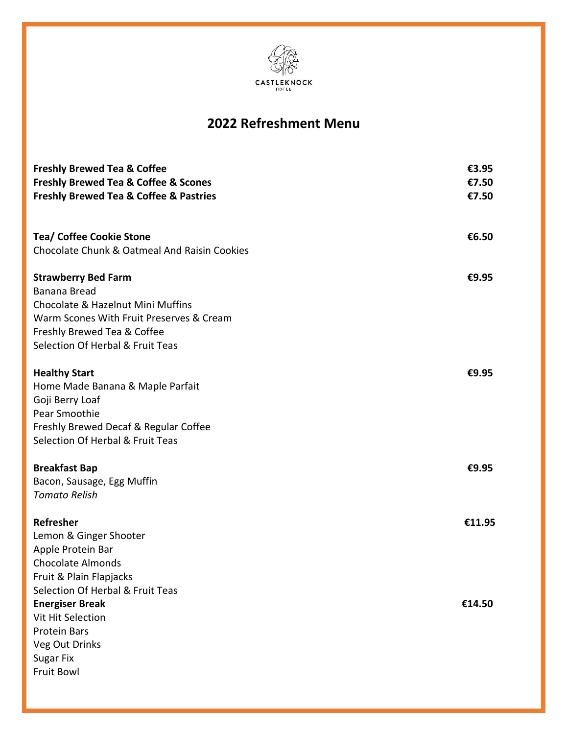

# **2022 Refreshment Menu**

| <b>Freshly Brewed Tea &amp; Coffee</b><br><b>Freshly Brewed Tea &amp; Coffee &amp; Scones</b><br><b>Freshly Brewed Tea &amp; Coffee &amp; Pastries</b>                                                | €3.95<br>€7.50<br>€7.50 |
|-------------------------------------------------------------------------------------------------------------------------------------------------------------------------------------------------------|-------------------------|
| <b>Tea/ Coffee Cookie Stone</b><br>Chocolate Chunk & Oatmeal And Raisin Cookies                                                                                                                       | €6.50                   |
| <b>Strawberry Bed Farm</b><br><b>Banana Bread</b><br>Chocolate & Hazelnut Mini Muffins<br>Warm Scones With Fruit Preserves & Cream<br>Freshly Brewed Tea & Coffee<br>Selection Of Herbal & Fruit Teas | €9.95                   |
| <b>Healthy Start</b><br>Home Made Banana & Maple Parfait<br>Goji Berry Loaf<br>Pear Smoothie<br>Freshly Brewed Decaf & Regular Coffee<br>Selection Of Herbal & Fruit Teas                             | €9.95                   |
| <b>Breakfast Bap</b><br>Bacon, Sausage, Egg Muffin<br><b>Tomato Relish</b>                                                                                                                            | €9.95                   |
| Refresher<br>Lemon & Ginger Shooter<br>Apple Protein Bar<br><b>Chocolate Almonds</b><br>Fruit & Plain Flapjacks                                                                                       | €11.95                  |
| Selection Of Herbal & Fruit Teas<br><b>Energiser Break</b><br>Vit Hit Selection<br><b>Protein Bars</b><br>Veg Out Drinks<br><b>Sugar Fix</b><br>Fruit Bowl                                            | €14.50                  |